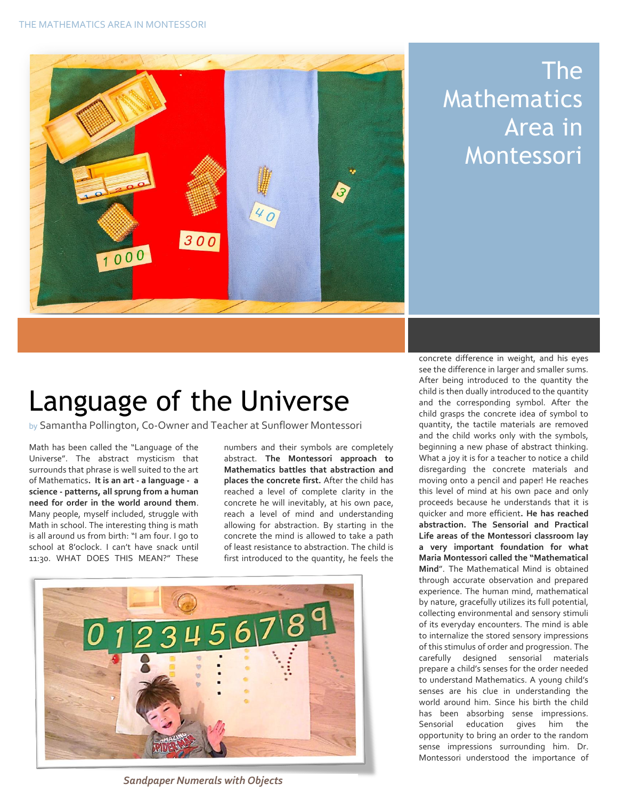

## The Mathematics Area in Montessori

## Language of the Universe

by Samantha Pollington, Co-Owner and Teacher at Sunflower Montessori

Math has been called the "Language of the Universe". The abstract mysticism that surrounds that phrase is well suited to the art of Mathematics**. It is an art - a language - a science - patterns, all sprung from a human need for order in the world around them**. Many people, myself included, struggle with Math in school. The interesting thing is math is all around us from birth: "I am four. I go to school at 8'oclock. I can't have snack until 11:30. WHAT DOES THIS MEAN?" These

numbers and their symbols are completely abstract. **The Montessori approach to Mathematics battles that abstraction and places the concrete first.** After the child has reached a level of complete clarity in the concrete he will inevitably, at his own pace, reach a level of mind and understanding allowing for abstraction. By starting in the concrete the mind is allowed to take a path of least resistance to abstraction. The child is first introduced to the quantity, he feels the



*Figure Sandpaper Numerals with Objects*

quantity, the tactile materials are removed<br>and the child works only with the symbols,<br>boginning a now phase of abstract thinking concrete difference in weight, and his eyes see the difference in larger and smaller sums. After being introduced to the quantity the child is then dually introduced to the quantity and the corresponding symbol. After the child grasps the concrete idea of symbol to and the child works only with the symbols, beginning a new phase of abstract thinking. What a joy it is for a teacher to notice a child disregarding the concrete materials and moving onto a pencil and paper! He reaches this level of mind at his own pace and only proceeds because he understands that it is quicker and more efficient**. He has reached abstraction. The Sensorial and Practical Life areas of the Montessori classroom lay a very important foundation for what Maria Montessori called the "Mathematical Mind**". The Mathematical Mind is obtained through accurate observation and prepared experience. The human mind, mathematical by nature, gracefully utilizes its full potential, collecting environmental and sensory stimuli of its everyday encounters. The mind is able to internalize the stored sensory impressions of this stimulus of order and progression. The carefully designed sensorial materials prepare a child's senses for the order needed to understand Mathematics. A young child's senses are his clue in understanding the world around him. Since his birth the child has been absorbing sense impressions. Sensorial education gives him the opportunity to bring an order to the random sense impressions surrounding him. Dr. Montessori understood the importance of